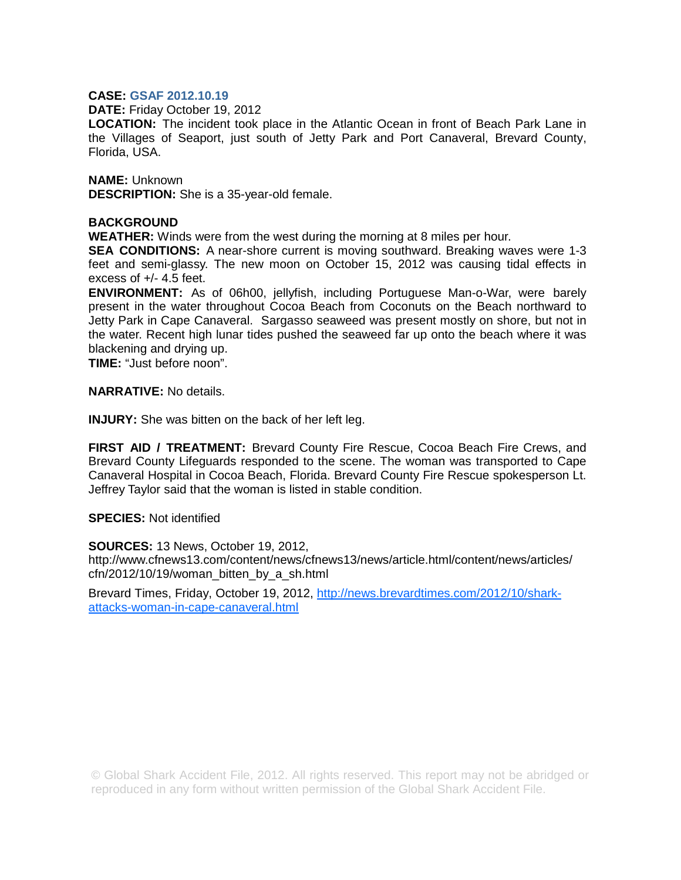## **CASE: GSAF 2012.10.19**

**DATE:** Friday October 19, 2012

**LOCATION:** The incident took place in the Atlantic Ocean in front of Beach Park Lane in the Villages of Seaport, just south of Jetty Park and Port Canaveral, Brevard County, Florida, USA.

**NAME:** Unknown **DESCRIPTION:** She is a 35-year-old female.

## **BACKGROUND**

**WEATHER:** Winds were from the west during the morning at 8 miles per hour.

**SEA CONDITIONS:** A near-shore current is moving southward. Breaking waves were 1-3 feet and semi-glassy. The new moon on October 15, 2012 was causing tidal effects in excess of +/- 4.5 feet.

**ENVIRONMENT:** As of 06h00, jellyfish, including Portuguese Man-o-War, were barely present in the water throughout Cocoa Beach from Coconuts on the Beach northward to Jetty Park in Cape Canaveral. Sargasso seaweed was present mostly on shore, but not in the water. Recent high lunar tides pushed the seaweed far up onto the beach where it was blackening and drying up.

**TIME:** "Just before noon".

**NARRATIVE:** No details.

**INJURY:** She was bitten on the back of her left leg.

**FIRST AID / TREATMENT:** Brevard County Fire Rescue, Cocoa Beach Fire Crews, and Brevard County Lifeguards responded to the scene. The woman was transported to Cape Canaveral Hospital in Cocoa Beach, Florida. Brevard County Fire Rescue spokesperson Lt. Jeffrey Taylor said that the woman is listed in stable condition.

**SPECIES:** Not identified

**SOURCES:** 13 News, October 19, 2012, http://www.cfnews13.com/content/news/cfnews13/news/article.html/content/news/articles/ cfn/2012/10/19/woman\_bitten\_by\_a\_sh.html

Brevard Times, Friday, October 19, 2012, http://news.brevardtimes.com/2012/10/sharkattacks-woman-in-cape-canaveral.html